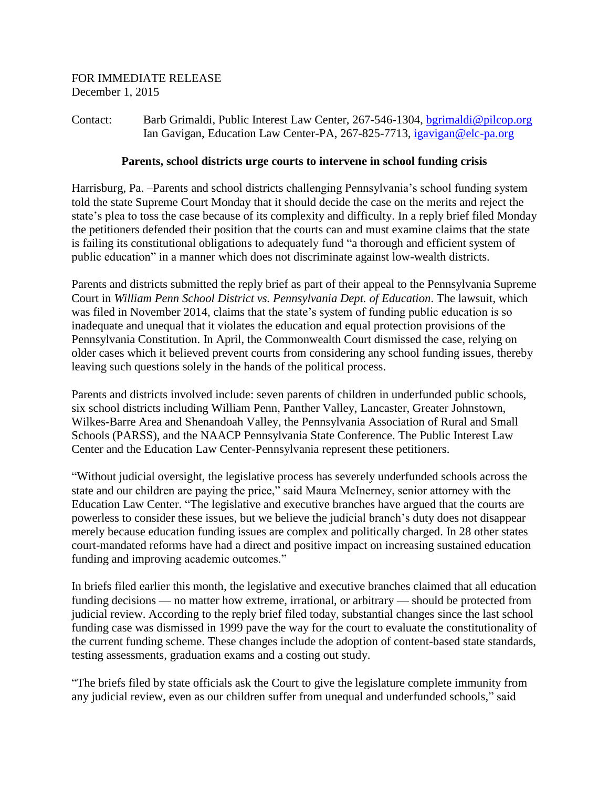Contact: Barb Grimaldi, Public Interest Law Center, 267-546-1304, [bgrimaldi@pilcop.org](mailto:bgrimaldi@pilcop.org) Ian Gavigan, Education Law Center-PA, 267-825-7713, [igavigan@elc-pa.org](mailto:igavigan@elc-pa.org)

## **Parents, school districts urge courts to intervene in school funding crisis**

Harrisburg, Pa. –Parents and school districts challenging Pennsylvania's school funding system told the state Supreme Court Monday that it should decide the case on the merits and reject the state's plea to toss the case because of its complexity and difficulty. In a reply brief filed Monday the petitioners defended their position that the courts can and must examine claims that the state is failing its constitutional obligations to adequately fund "a thorough and efficient system of public education" in a manner which does not discriminate against low-wealth districts.

Parents and districts submitted the reply brief as part of their appeal to the Pennsylvania Supreme Court in *William Penn School District vs. Pennsylvania Dept. of Education*. The lawsuit, which was filed in November 2014, claims that the state's system of funding public education is so inadequate and unequal that it violates the education and equal protection provisions of the Pennsylvania Constitution. In April, the Commonwealth Court dismissed the case, relying on older cases which it believed prevent courts from considering any school funding issues, thereby leaving such questions solely in the hands of the political process.

Parents and districts involved include: seven parents of children in underfunded public schools, six school districts including William Penn, Panther Valley, Lancaster, Greater Johnstown, Wilkes-Barre Area and Shenandoah Valley, the Pennsylvania Association of Rural and Small Schools (PARSS), and the NAACP Pennsylvania State Conference. The Public Interest Law Center and the Education Law Center-Pennsylvania represent these petitioners.

"Without judicial oversight, the legislative process has severely underfunded schools across the state and our children are paying the price," said Maura McInerney, senior attorney with the Education Law Center. "The legislative and executive branches have argued that the courts are powerless to consider these issues, but we believe the judicial branch's duty does not disappear merely because education funding issues are complex and politically charged. In 28 other states court-mandated reforms have had a direct and positive impact on increasing sustained education funding and improving academic outcomes."

In briefs filed earlier this month, the legislative and executive branches claimed that all education funding decisions — no matter how extreme, irrational, or arbitrary — should be protected from judicial review. According to the reply brief filed today, substantial changes since the last school funding case was dismissed in 1999 pave the way for the court to evaluate the constitutionality of the current funding scheme. These changes include the adoption of content-based state standards, testing assessments, graduation exams and a costing out study.

"The briefs filed by state officials ask the Court to give the legislature complete immunity from any judicial review, even as our children suffer from unequal and underfunded schools," said